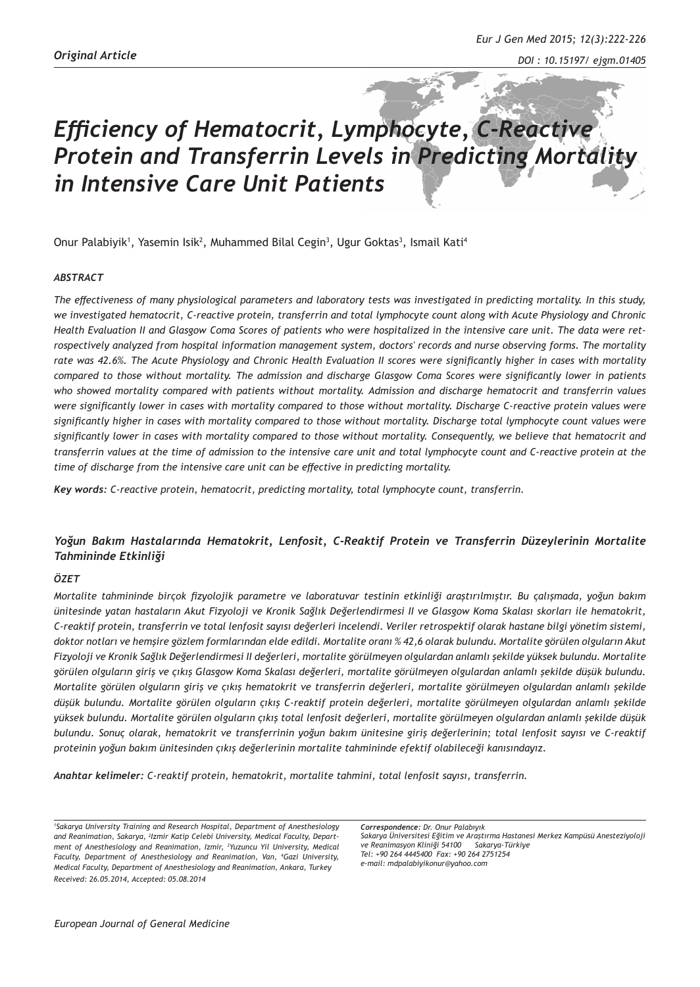# *Efficiency of Hematocrit, Lymphocyte, C-Reactive Protein and Transferrin Levels in Predicting Mortality in Intensive Care Unit Patients*

Onur Palabiyik<sup>1</sup>, Yasemin Isik<sup>2</sup>, Muhammed Bilal Cegin<sup>3</sup>, Ugur Goktas<sup>3</sup>, Ismail Kati<sup>4</sup>

## *ABSTRACT*

*The effectiveness of many physiological parameters and laboratory tests was investigated in predicting mortality. In this study, we investigated hematocrit, C-reactive protein, transferrin and total lymphocyte count along with Acute Physiology and Chronic Health Evaluation II and Glasgow Coma Scores of patients who were hospitalized in the intensive care unit. The data were retrospectively analyzed from hospital information management system, doctors' records and nurse observing forms. The mortality rate was 42.6%. The Acute Physiology and Chronic Health Evaluation II scores were significantly higher in cases with mortality compared to those without mortality. The admission and discharge Glasgow Coma Scores were significantly lower in patients who showed mortality compared with patients without mortality. Admission and discharge hematocrit and transferrin values were significantly lower in cases with mortality compared to those without mortality. Discharge C-reactive protein values were significantly higher in cases with mortality compared to those without mortality. Discharge total lymphocyte count values were significantly lower in cases with mortality compared to those without mortality. Consequently, we believe that hematocrit and transferrin values at the time of admission to the intensive care unit and total lymphocyte count and C-reactive protein at the time of discharge from the intensive care unit can be effective in predicting mortality.*

*Key words: C-reactive protein, hematocrit, predicting mortality, total lymphocyte count, transferrin.*

## *Yoğun Bakım Hastalarında Hematokrit, Lenfosit, C-Reaktif Protein ve Transferrin Düzeylerinin Mortalite Tahmininde Etkinliği*

#### *ÖZET*

*Mortalite tahmininde birçok fizyolojik parametre ve laboratuvar testinin etkinliği araştırılmıştır. Bu çalışmada, yoğun bakım ünitesinde yatan hastaların Akut Fizyoloji ve Kronik Sağlık Değerlendirmesi II ve Glasgow Koma Skalası skorları ile hematokrit, C-reaktif protein, transferrin ve total lenfosit sayısı değerleri incelendi. Veriler retrospektif olarak hastane bilgi yönetim sistemi, doktor notları ve hemşire gözlem formlarından elde edildi. Mortalite oranı % 42,6 olarak bulundu. Mortalite görülen olguların Akut Fizyoloji ve Kronik Sağlık Değerlendirmesi II değerleri, mortalite görülmeyen olgulardan anlamlı şekilde yüksek bulundu. Mortalite görülen olguların giriş ve çıkış Glasgow Koma Skalası değerleri, mortalite görülmeyen olgulardan anlamlı şekilde düşük bulundu. Mortalite görülen olguların giriş ve çıkış hematokrit ve transferrin değerleri, mortalite görülmeyen olgulardan anlamlı şekilde düşük bulundu. Mortalite görülen olguların çıkış C-reaktif protein değerleri, mortalite görülmeyen olgulardan anlamlı şekilde yüksek bulundu. Mortalite görülen olguların çıkış total lenfosit değerleri, mortalite görülmeyen olgulardan anlamlı şekilde düşük bulundu. Sonuç olarak, hematokrit ve transferrinin yoğun bakım ünitesine giriş değerlerinin; total lenfosit sayısı ve C-reaktif proteinin yoğun bakım ünitesinden çıkış değerlerinin mortalite tahmininde efektif olabileceği kanısındayız.*

*Anahtar kelimeler: C-reaktif protein, hematokrit, mortalite tahmini, total lenfosit sayısı, transferrin.*

*1 Sakarya University Training and Research Hospital, Department of Anesthesiology and Reanimation, Sakarya, 2 Izmir Katip Celebi University, Medical Faculty, Department of Anesthesiology and Reanimation, Izmir, <sup>3</sup> Yuzuncu Yil University, Medical Faculty, Department of Anesthesiology and Reanimation, Van, 4 Gazi University, Medical Faculty, Department of Anesthesiology and Reanimation, Ankara, Turkey Received: 26.05.2014, Accepted: 05.08.2014*

*Correspondence: Dr. Onur Palabıyık Sakarya Üniversitesi Eğitim ve Araştırma Hastanesi Merkez Kampüsü Anesteziyoloji ve Reanimasyon Kliniği 54100 Sakarya-Türkiye Tel: +90 264 4445400 Fax: +90 264 2751254 e-mail: mdpalabiyikonur@yahoo.com*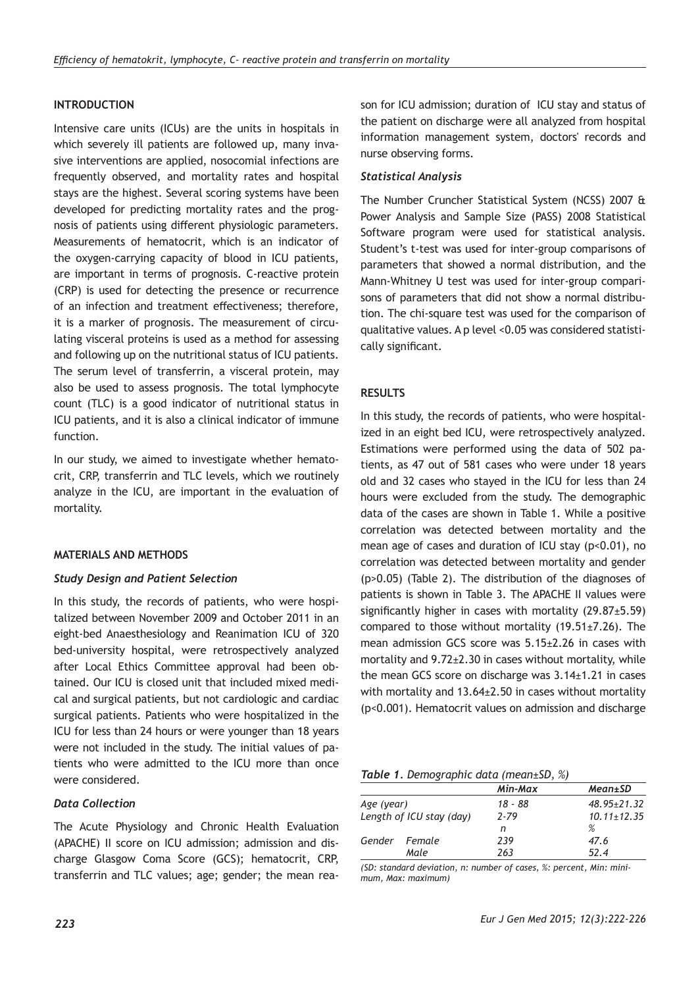# **INTRODUCTION**

Intensive care units (ICUs) are the units in hospitals in which severely ill patients are followed up, many invasive interventions are applied, nosocomial infections are frequently observed, and mortality rates and hospital stays are the highest. Several scoring systems have been developed for predicting mortality rates and the prognosis of patients using different physiologic parameters. Measurements of hematocrit, which is an indicator of the oxygen-carrying capacity of blood in ICU patients, are important in terms of prognosis. C-reactive protein (CRP) is used for detecting the presence or recurrence of an infection and treatment effectiveness; therefore, it is a marker of prognosis. The measurement of circulating visceral proteins is used as a method for assessing and following up on the nutritional status of ICU patients. The serum level of transferrin, a visceral protein, may also be used to assess prognosis. The total lymphocyte count (TLC) is a good indicator of nutritional status in ICU patients, and it is also a clinical indicator of immune function.

In our study, we aimed to investigate whether hematocrit, CRP, transferrin and TLC levels, which we routinely analyze in the ICU, are important in the evaluation of mortality.

## **MATERIALS AND METHODS**

## *Study Design and Patient Selection*

In this study, the records of patients, who were hospitalized between November 2009 and October 2011 in an eight-bed Anaesthesiology and Reanimation ICU of 320 bed-university hospital, were retrospectively analyzed after Local Ethics Committee approval had been obtained. Our ICU is closed unit that included mixed medical and surgical patients, but not cardiologic and cardiac surgical patients. Patients who were hospitalized in the ICU for less than 24 hours or were younger than 18 years were not included in the study. The initial values of patients who were admitted to the ICU more than once were considered.

## *Data Collection*

The Acute Physiology and Chronic Health Evaluation (APACHE) II score on ICU admission; admission and discharge Glasgow Coma Score (GCS); hematocrit, CRP, transferrin and TLC values; age; gender; the mean reason for ICU admission; duration of ICU stay and status of the patient on discharge were all analyzed from hospital information management system, doctors' records and nurse observing forms.

## *Statistical Analysis*

The Number Cruncher Statistical System (NCSS) 2007 & Power Analysis and Sample Size (PASS) 2008 Statistical Software program were used for statistical analysis. Student's t-test was used for inter-group comparisons of parameters that showed a normal distribution, and the Mann-Whitney U test was used for inter-group comparisons of parameters that did not show a normal distribution. The chi-square test was used for the comparison of qualitative values. A p level <0.05 was considered statistically significant.

## **RESULTS**

In this study, the records of patients, who were hospitalized in an eight bed ICU, were retrospectively analyzed. Estimations were performed using the data of 502 patients, as 47 out of 581 cases who were under 18 years old and 32 cases who stayed in the ICU for less than 24 hours were excluded from the study. The demographic data of the cases are shown in Table 1. While a positive correlation was detected between mortality and the mean age of cases and duration of ICU stay (p<0.01), no correlation was detected between mortality and gender (p>0.05) (Table 2). The distribution of the diagnoses of patients is shown in Table 3. The APACHE II values were significantly higher in cases with mortality (29.87±5.59) compared to those without mortality  $(19.51 \pm 7.26)$ . The mean admission GCS score was 5.15±2.26 in cases with mortality and 9.72±2.30 in cases without mortality, while the mean GCS score on discharge was 3.14±1.21 in cases with mortality and 13.64±2.50 in cases without mortality (p<0.001). Hematocrit values on admission and discharge

## *Table 1. Demographic data (mean±SD, %)*

|                          |               | Min-Max  | $Mean \pm SD$     |
|--------------------------|---------------|----------|-------------------|
| Age (year)               |               | 18 - 88  | $48.95 \pm 21.32$ |
| Length of ICU stay (day) |               | $2 - 79$ | $10.11 \pm 12.35$ |
|                          |               | n        | %                 |
|                          | Gender Female | 239      | 47.6              |
|                          | Male          | 263      | 52.4              |

*(SD: standard deviation, n: number of cases, %: percent, Min: minimum, Max: maximum)*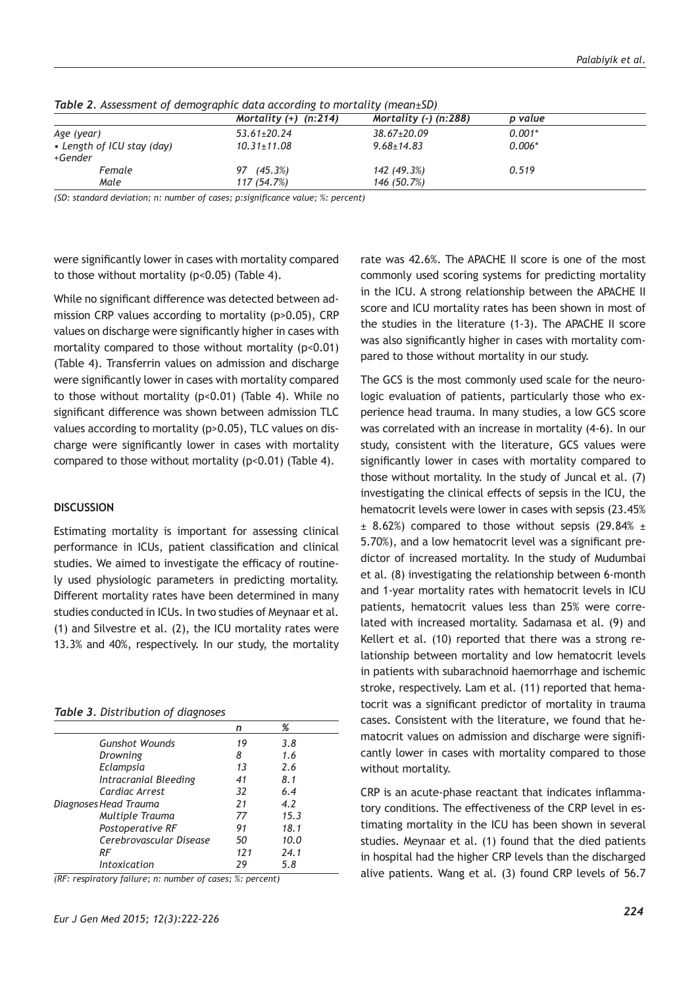|                                       | Mortality $(+)$ (n:214) | Mortality $(-)$ (n:288) | p value  |
|---------------------------------------|-------------------------|-------------------------|----------|
| Age (year)                            | $53.61 \pm 20.24$       | $38.67 \pm 20.09$       | $0.001*$ |
| • Length of ICU stay (day)<br>+Gender | $10.31 \pm 11.08$       | $9.68 \pm 14.83$        | $0.006*$ |
| Female                                | $(45.3\%)$<br>97        | 142 (49.3%)             | 0.519    |
| Male                                  | 117 (54.7%)             | 146 (50.7%)             |          |

*Table 2. Assessment of demographic data according to mortality (mean±SD)*

*(SD: standard deviation; n: number of cases; p:significance value; %: percent)*

were significantly lower in cases with mortality compared to those without mortality (p<0.05) (Table 4).

While no significant difference was detected between admission CRP values according to mortality (p>0.05), CRP values on discharge were significantly higher in cases with mortality compared to those without mortality (p<0.01) (Table 4). Transferrin values on admission and discharge were significantly lower in cases with mortality compared to those without mortality  $(p<0.01)$  (Table 4). While no significant difference was shown between admission TLC values according to mortality (p>0.05), TLC values on discharge were significantly lower in cases with mortality compared to those without mortality  $(p<0.01)$  (Table 4).

## **DISCUSSION**

Estimating mortality is important for assessing clinical performance in ICUs, patient classification and clinical studies. We aimed to investigate the efficacy of routinely used physiologic parameters in predicting mortality. Different mortality rates have been determined in many studies conducted in ICUs. In two studies of Meynaar et al. (1) and Silvestre et al. (2), the ICU mortality rates were 13.3% and 40%, respectively. In our study, the mortality

#### *Table 3. Distribution of diagnoses*

| n   | %    |
|-----|------|
| 19  | 3.8  |
| 8   | 1.6  |
| 13  | 2.6  |
| 41  | 8.1  |
| 32  | 6.4  |
| 21  | 4.2  |
| 77  | 15.3 |
| 91  | 18.1 |
| 50  | 10.0 |
| 121 | 74.1 |
| 29  | 5.8  |
|     |      |

*(RF: respiratory failure; n: number of cases; %: percent)*

rate was 42.6%. The APACHE II score is one of the most commonly used scoring systems for predicting mortality in the ICU. A strong relationship between the APACHE II score and ICU mortality rates has been shown in most of the studies in the literature (1-3). The APACHE II score was also significantly higher in cases with mortality compared to those without mortality in our study.

The GCS is the most commonly used scale for the neurologic evaluation of patients, particularly those who experience head trauma. In many studies, a low GCS score was correlated with an increase in mortality (4-6). In our study, consistent with the literature, GCS values were significantly lower in cases with mortality compared to those without mortality. In the study of Juncal et al. (7) investigating the clinical effects of sepsis in the ICU, the hematocrit levels were lower in cases with sepsis (23.45%  $\pm$  8.62%) compared to those without sepsis (29.84%  $\pm$ 5.70%), and a low hematocrit level was a significant predictor of increased mortality. In the study of Mudumbai et al. (8) investigating the relationship between 6-month and 1-year mortality rates with hematocrit levels in ICU patients, hematocrit values less than 25% were correlated with increased mortality. Sadamasa et al. (9) and Kellert et al. (10) reported that there was a strong relationship between mortality and low hematocrit levels in patients with subarachnoid haemorrhage and ischemic stroke, respectively. Lam et al. (11) reported that hematocrit was a significant predictor of mortality in trauma cases. Consistent with the literature, we found that hematocrit values on admission and discharge were significantly lower in cases with mortality compared to those without mortality.

CRP is an acute-phase reactant that indicates inflammatory conditions. The effectiveness of the CRP level in estimating mortality in the ICU has been shown in several studies. Meynaar et al. (1) found that the died patients in hospital had the higher CRP levels than the discharged alive patients. Wang et al. (3) found CRP levels of 56.7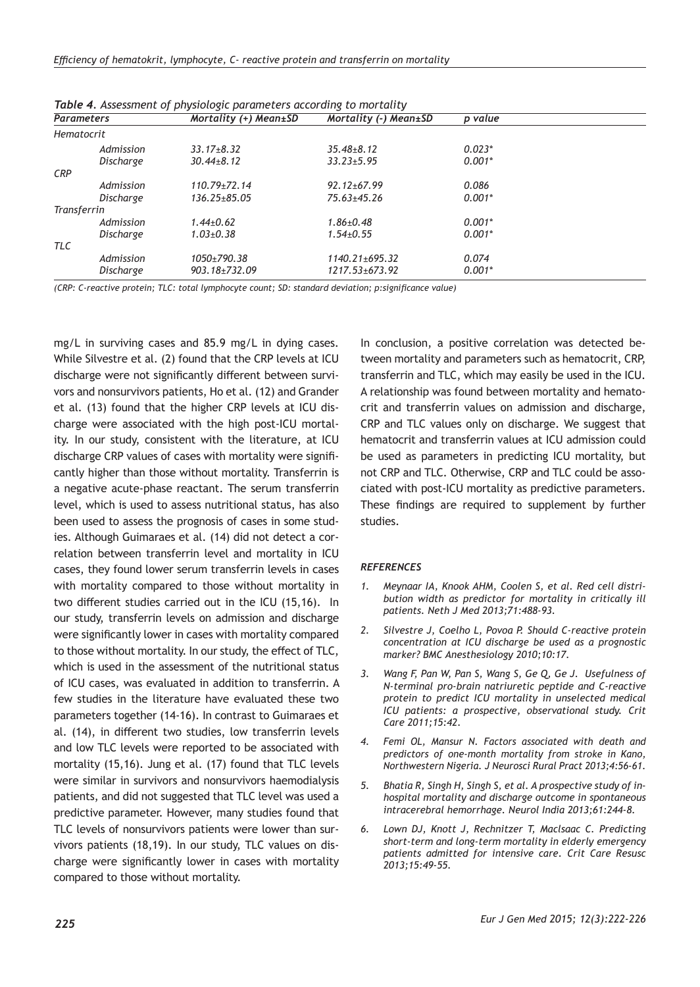| <b>Table 4.</b> Assessment of physiologic parameters according to mortanty |                  |                               |                       |          |  |  |
|----------------------------------------------------------------------------|------------------|-------------------------------|-----------------------|----------|--|--|
| <b>Parameters</b>                                                          |                  | Mortality $(+)$ Mean $\pm$ SD | Mortality (-) Mean±SD | p value  |  |  |
| <b>Hematocrit</b>                                                          |                  |                               |                       |          |  |  |
|                                                                            | Admission        | $33.17 + 8.32$                | $35.48 + 8.12$        | $0.023*$ |  |  |
|                                                                            | Discharge        | $30.44 + 8.12$                | $33.23 + 5.95$        | $0.001*$ |  |  |
| <b>CRP</b>                                                                 |                  |                               |                       |          |  |  |
|                                                                            | Admission        | $110.79 \pm 72.14$            | $92.12 \pm 67.99$     | 0.086    |  |  |
|                                                                            | Discharge        | $136.25 + 85.05$              | $75.63 + 45.26$       | $0.001*$ |  |  |
| Transferrin                                                                |                  |                               |                       |          |  |  |
|                                                                            | Admission        | $1.44 + 0.62$                 | $1.86 + 0.48$         | $0.001*$ |  |  |
|                                                                            | <b>Discharge</b> | $1.03 + 0.38$                 | $1.54 + 0.55$         | $0.001*$ |  |  |
| <b>TLC</b>                                                                 |                  |                               |                       |          |  |  |
|                                                                            | Admission        | $1050+790.38$                 | $1140.21 \pm 695.32$  | 0.074    |  |  |
|                                                                            | Discharge        | $903.18 + 732.09$             | $1217.53 + 673.92$    | $0.001*$ |  |  |

*Table 4. Assessment of physiologic parameters according to mortality*

*(CRP: C-reactive protein; TLC: total lymphocyte count; SD: standard deviation; p:significance value)*

mg/L in surviving cases and 85.9 mg/L in dying cases. While Silvestre et al. (2) found that the CRP levels at ICU discharge were not significantly different between survivors and nonsurvivors patients, Ho et al. (12) and Grander et al. (13) found that the higher CRP levels at ICU discharge were associated with the high post-ICU mortality. In our study, consistent with the literature, at ICU discharge CRP values of cases with mortality were significantly higher than those without mortality. Transferrin is a negative acute-phase reactant. The serum transferrin level, which is used to assess nutritional status, has also been used to assess the prognosis of cases in some studies. Although Guimaraes et al. (14) did not detect a correlation between transferrin level and mortality in ICU cases, they found lower serum transferrin levels in cases with mortality compared to those without mortality in two different studies carried out in the ICU (15,16). In our study, transferrin levels on admission and discharge were significantly lower in cases with mortality compared to those without mortality. In our study, the effect of TLC, which is used in the assessment of the nutritional status of ICU cases, was evaluated in addition to transferrin. A few studies in the literature have evaluated these two parameters together (14-16). In contrast to Guimaraes et al. (14), in different two studies, low transferrin levels and low TLC levels were reported to be associated with mortality (15,16). Jung et al. (17) found that TLC levels were similar in survivors and nonsurvivors haemodialysis patients, and did not suggested that TLC level was used a predictive parameter. However, many studies found that TLC levels of nonsurvivors patients were lower than survivors patients (18,19). In our study, TLC values on discharge were significantly lower in cases with mortality compared to those without mortality.

In conclusion, a positive correlation was detected between mortality and parameters such as hematocrit, CRP, transferrin and TLC, which may easily be used in the ICU. A relationship was found between mortality and hematocrit and transferrin values on admission and discharge, CRP and TLC values only on discharge. We suggest that hematocrit and transferrin values at ICU admission could be used as parameters in predicting ICU mortality, but not CRP and TLC. Otherwise, CRP and TLC could be associated with post-ICU mortality as predictive parameters. These findings are required to supplement by further studies.

#### *REFERENCES*

- *1. Meynaar IA, Knook AHM, Coolen S, et al. Red cell distribution width as predictor for mortality in critically ill patients. Neth J Med 2013;71:488-93.*
- *2. Silvestre J, Coelho L, Povoa P. Should C-reactive protein concentration at ICU discharge be used as a prognostic marker? BMC Anesthesiology 2010;10:17.*
- *3. Wang F, Pan W, Pan S, Wang S, Ge Q, Ge J. Usefulness of N-terminal pro-brain natriuretic peptide and C-reactive protein to predict ICU mortality in unselected medical ICU patients: a prospective, observational study. Crit Care 2011;15:42.*
- *4. Femi OL, Mansur N. Factors associated with death and predictors of one-month mortality from stroke in Kano, Northwestern Nigeria. J Neurosci Rural Pract 2013;4:56-61.*
- *5. Bhatia R, Singh H, Singh S, et al. A prospective study of inhospital mortality and discharge outcome in spontaneous intracerebral hemorrhage. Neurol India 2013;61:244-8.*
- *6. Lown DJ, Knott J, Rechnitzer T, Maclsaac C. Predicting short-term and long-term mortality in elderly emergency patients admitted for intensive care. Crit Care Resusc 2013;15:49-55.*